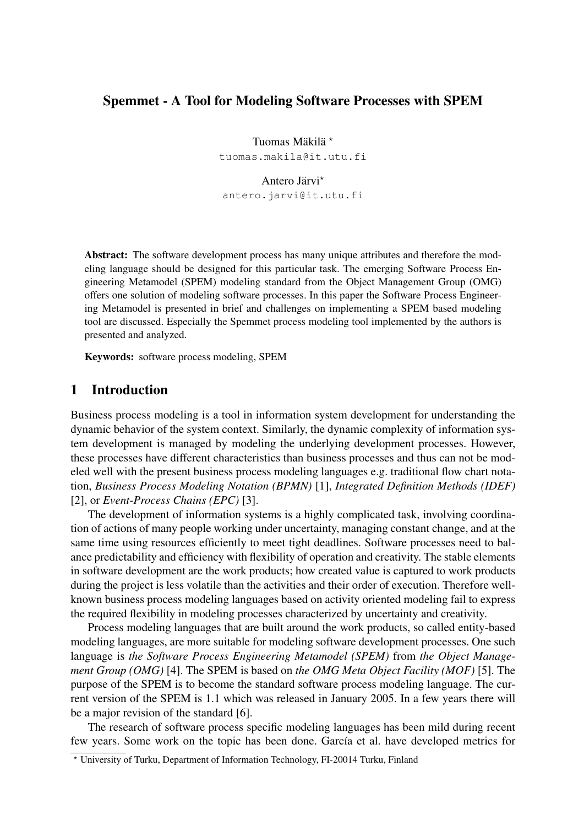# Spemmet - A Tool for Modeling Software Processes with SPEM

Tuomas Mäkilä<sup>\*</sup> tuomas.makila@it.utu.fi

#### Antero Järvi\*

antero.jarvi@it.utu.fi

Abstract: The software development process has many unique attributes and therefore the modeling language should be designed for this particular task. The emerging Software Process Engineering Metamodel (SPEM) modeling standard from the Object Management Group (OMG) offers one solution of modeling software processes. In this paper the Software Process Engineering Metamodel is presented in brief and challenges on implementing a SPEM based modeling tool are discussed. Especially the Spemmet process modeling tool implemented by the authors is presented and analyzed.

Keywords: software process modeling, SPEM

#### 1 Introduction

Business process modeling is a tool in information system development for understanding the dynamic behavior of the system context. Similarly, the dynamic complexity of information system development is managed by modeling the underlying development processes. However, these processes have different characteristics than business processes and thus can not be modeled well with the present business process modeling languages e.g. traditional flow chart notation, *Business Process Modeling Notation (BPMN)* [1], *Integrated Definition Methods (IDEF)* [2], or *Event-Process Chains (EPC)* [3].

The development of information systems is a highly complicated task, involving coordination of actions of many people working under uncertainty, managing constant change, and at the same time using resources efficiently to meet tight deadlines. Software processes need to balance predictability and efficiency with flexibility of operation and creativity. The stable elements in software development are the work products; how created value is captured to work products during the project is less volatile than the activities and their order of execution. Therefore wellknown business process modeling languages based on activity oriented modeling fail to express the required flexibility in modeling processes characterized by uncertainty and creativity.

Process modeling languages that are built around the work products, so called entity-based modeling languages, are more suitable for modeling software development processes. One such language is *the Software Process Engineering Metamodel (SPEM)* from *the Object Management Group (OMG)* [4]. The SPEM is based on *the OMG Meta Object Facility (MOF)* [5]. The purpose of the SPEM is to become the standard software process modeling language. The current version of the SPEM is 1.1 which was released in January 2005. In a few years there will be a major revision of the standard [6].

The research of software process specific modeling languages has been mild during recent few years. Some work on the topic has been done. García et al. have developed metrics for

<sup>!</sup> University of Turku, Department of Information Technology, FI-20014 Turku, Finland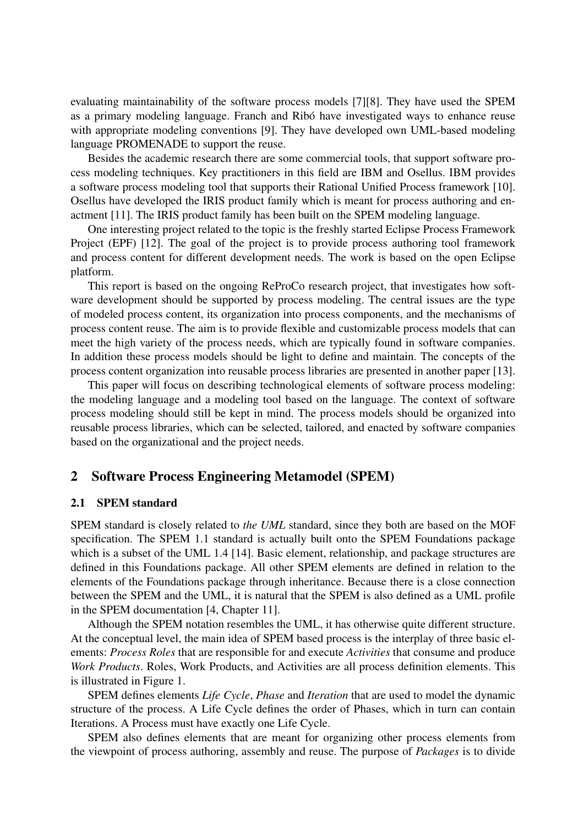evaluating maintainability of the software process models [7][8]. They have used the SPEM as a primary modeling language. Franch and Ribó have investigated ways to enhance reuse with appropriate modeling conventions [9]. They have developed own UML-based modeling language PROMENADE to support the reuse.

Besides the academic research there are some commercial tools, that support software process modeling techniques. Key practitioners in this field are IBM and Osellus. IBM provides a software process modeling tool that supports their Rational Unified Process framework [10]. Osellus have developed the IRIS product family which is meant for process authoring and enactment [11]. The IRIS product family has been built on the SPEM modeling language.

One interesting project related to the topic is the freshly started Eclipse Process Framework Project (EPF) [12]. The goal of the project is to provide process authoring tool framework and process content for different development needs. The work is based on the open Eclipse platform.

This report is based on the ongoing ReProCo research project, that investigates how software development should be supported by process modeling. The central issues are the type of modeled process content, its organization into process components, and the mechanisms of process content reuse. The aim is to provide flexible and customizable process models that can meet the high variety of the process needs, which are typically found in software companies. In addition these process models should be light to define and maintain. The concepts of the process content organization into reusable process libraries are presented in another paper [13].

This paper will focus on describing technological elements of software process modeling: the modeling language and a modeling tool based on the language. The context of software process modeling should still be kept in mind. The process models should be organized into reusable process libraries, which can be selected, tailored, and enacted by software companies based on the organizational and the project needs.

### 2 Software Process Engineering Metamodel (SPEM)

#### 2.1 SPEM standard

SPEM standard is closely related to *the UML* standard, since they both are based on the MOF specification. The SPEM 1.1 standard is actually built onto the SPEM Foundations package which is a subset of the UML 1.4 [14]. Basic element, relationship, and package structures are defined in this Foundations package. All other SPEM elements are defined in relation to the elements of the Foundations package through inheritance. Because there is a close connection between the SPEM and the UML, it is natural that the SPEM is also defined as a UML profile in the SPEM documentation [4, Chapter 11].

Although the SPEM notation resembles the UML, it has otherwise quite different structure. At the conceptual level, the main idea of SPEM based process is the interplay of three basic elements: *Process Roles* that are responsible for and execute *Activities* that consume and produce *Work Products*. Roles, Work Products, and Activities are all process definition elements. This is illustrated in Figure 1.

SPEM defines elements *Life Cycle*, *Phase* and *Iteration* that are used to model the dynamic structure of the process. A Life Cycle defines the order of Phases, which in turn can contain Iterations. A Process must have exactly one Life Cycle.

SPEM also defines elements that are meant for organizing other process elements from the viewpoint of process authoring, assembly and reuse. The purpose of *Packages* is to divide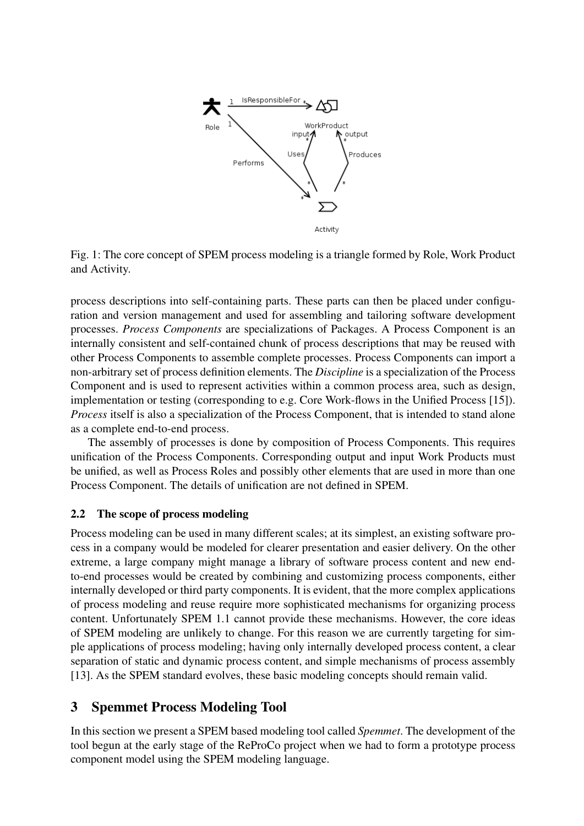

Fig. 1: The core concept of SPEM process modeling is a triangle formed by Role, Work Product and Activity.

process descriptions into self-containing parts. These parts can then be placed under configuration and version management and used for assembling and tailoring software development processes. *Process Components* are specializations of Packages. A Process Component is an internally consistent and self-contained chunk of process descriptions that may be reused with other Process Components to assemble complete processes. Process Components can import a non-arbitrary set of process definition elements. The *Discipline* is a specialization of the Process Component and is used to represent activities within a common process area, such as design, implementation or testing (corresponding to e.g. Core Work-flows in the Unified Process [15]). *Process* itself is also a specialization of the Process Component, that is intended to stand alone as a complete end-to-end process.

The assembly of processes is done by composition of Process Components. This requires unification of the Process Components. Corresponding output and input Work Products must be unified, as well as Process Roles and possibly other elements that are used in more than one Process Component. The details of unification are not defined in SPEM.

### 2.2 The scope of process modeling

Process modeling can be used in many different scales; at its simplest, an existing software process in a company would be modeled for clearer presentation and easier delivery. On the other extreme, a large company might manage a library of software process content and new endto-end processes would be created by combining and customizing process components, either internally developed or third party components. It is evident, that the more complex applications of process modeling and reuse require more sophisticated mechanisms for organizing process content. Unfortunately SPEM 1.1 cannot provide these mechanisms. However, the core ideas of SPEM modeling are unlikely to change. For this reason we are currently targeting for simple applications of process modeling; having only internally developed process content, a clear separation of static and dynamic process content, and simple mechanisms of process assembly [13]. As the SPEM standard evolves, these basic modeling concepts should remain valid.

# 3 Spemmet Process Modeling Tool

In this section we present a SPEM based modeling tool called *Spemmet*. The development of the tool begun at the early stage of the ReProCo project when we had to form a prototype process component model using the SPEM modeling language.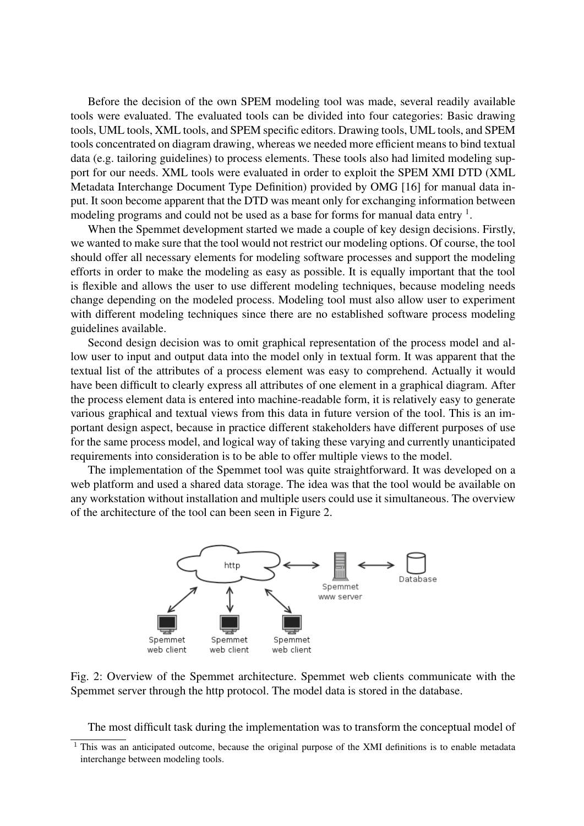Before the decision of the own SPEM modeling tool was made, several readily available tools were evaluated. The evaluated tools can be divided into four categories: Basic drawing tools, UML tools, XML tools, and SPEM specific editors. Drawing tools, UML tools, and SPEM tools concentrated on diagram drawing, whereas we needed more efficient means to bind textual data (e.g. tailoring guidelines) to process elements. These tools also had limited modeling support for our needs. XML tools were evaluated in order to exploit the SPEM XMI DTD (XML Metadata Interchange Document Type Definition) provided by OMG [16] for manual data input. It soon become apparent that the DTD was meant only for exchanging information between modeling programs and could not be used as a base for forms for manual data entry  $\frac{1}{1}$ .

When the Spemmet development started we made a couple of key design decisions. Firstly, we wanted to make sure that the tool would not restrict our modeling options. Of course, the tool should offer all necessary elements for modeling software processes and support the modeling efforts in order to make the modeling as easy as possible. It is equally important that the tool is flexible and allows the user to use different modeling techniques, because modeling needs change depending on the modeled process. Modeling tool must also allow user to experiment with different modeling techniques since there are no established software process modeling guidelines available.

Second design decision was to omit graphical representation of the process model and allow user to input and output data into the model only in textual form. It was apparent that the textual list of the attributes of a process element was easy to comprehend. Actually it would have been difficult to clearly express all attributes of one element in a graphical diagram. After the process element data is entered into machine-readable form, it is relatively easy to generate various graphical and textual views from this data in future version of the tool. This is an important design aspect, because in practice different stakeholders have different purposes of use for the same process model, and logical way of taking these varying and currently unanticipated requirements into consideration is to be able to offer multiple views to the model.

The implementation of the Spemmet tool was quite straightforward. It was developed on a web platform and used a shared data storage. The idea was that the tool would be available on any workstation without installation and multiple users could use it simultaneous. The overview of the architecture of the tool can been seen in Figure 2.



Fig. 2: Overview of the Spemmet architecture. Spemmet web clients communicate with the Spemmet server through the http protocol. The model data is stored in the database.

The most difficult task during the implementation was to transform the conceptual model of

 $1$  This was an anticipated outcome, because the original purpose of the XMI definitions is to enable metadata interchange between modeling tools.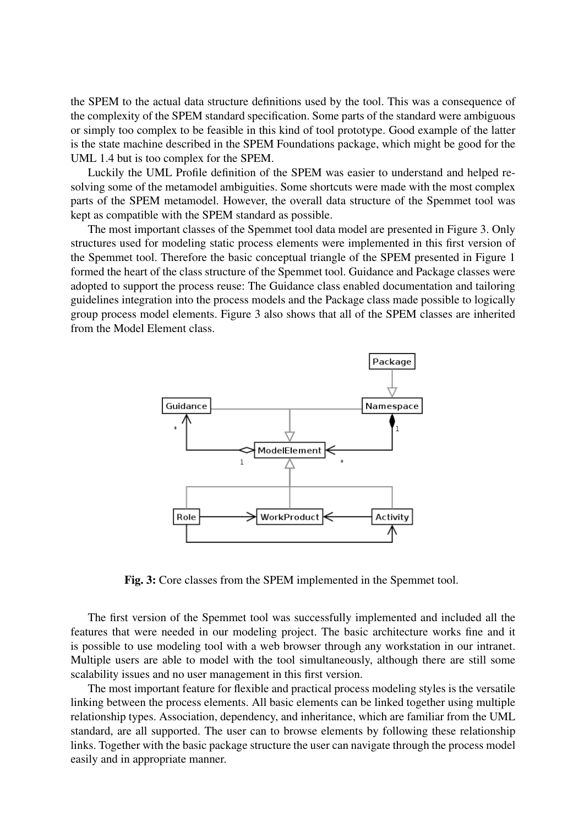the SPEM to the actual data structure definitions used by the tool. This was a consequence of the complexity of the SPEM standard specification. Some parts of the standard were ambiguous or simply too complex to be feasible in this kind of tool prototype. Good example of the latter is the state machine described in the SPEM Foundations package, which might be good for the UML 1.4 but is too complex for the SPEM.

Luckily the UML Profile definition of the SPEM was easier to understand and helped resolving some of the metamodel ambiguities. Some shortcuts were made with the most complex parts of the SPEM metamodel. However, the overall data structure of the Spemmet tool was kept as compatible with the SPEM standard as possible.

The most important classes of the Spemmet tool data model are presented in Figure 3. Only structures used for modeling static process elements were implemented in this first version of the Spemmet tool. Therefore the basic conceptual triangle of the SPEM presented in Figure 1 formed the heart of the class structure of the Spemmet tool. Guidance and Package classes were adopted to support the process reuse: The Guidance class enabled documentation and tailoring guidelines integration into the process models and the Package class made possible to logically group process model elements. Figure 3 also shows that all of the SPEM classes are inherited from the Model Element class.



Fig. 3: Core classes from the SPEM implemented in the Spemmet tool.

The first version of the Spemmet tool was successfully implemented and included all the features that were needed in our modeling project. The basic architecture works fine and it is possible to use modeling tool with a web browser through any workstation in our intranet. Multiple users are able to model with the tool simultaneously, although there are still some scalability issues and no user management in this first version.

The most important feature for flexible and practical process modeling styles is the versatile linking between the process elements. All basic elements can be linked together using multiple relationship types. Association, dependency, and inheritance, which are familiar from the UML standard, are all supported. The user can to browse elements by following these relationship links. Together with the basic package structure the user can navigate through the process model easily and in appropriate manner.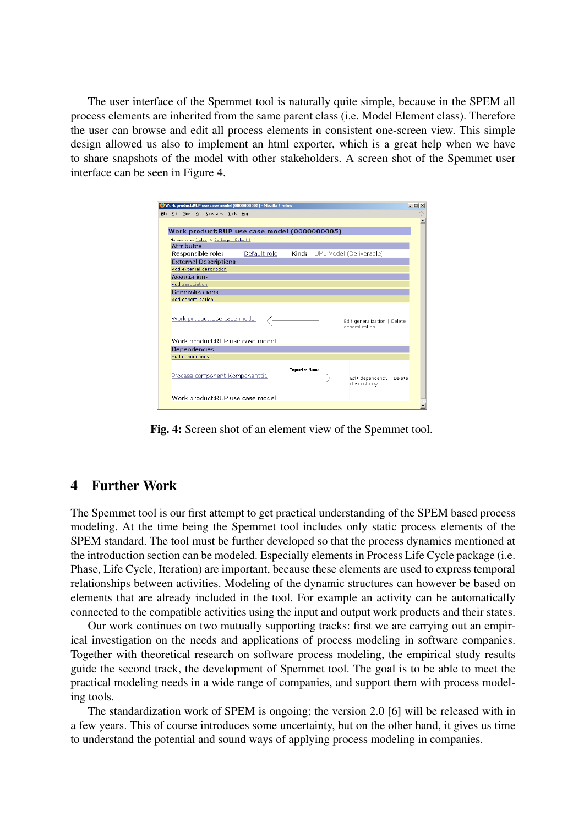The user interface of the Spemmet tool is naturally quite simple, because in the SPEM all process elements are inherited from the same parent class (i.e. Model Element class). Therefore the user can browse and edit all process elements in consistent one-screen view. This simple design allowed us also to implement an html exporter, which is a great help when we have to share snapshots of the model with other stakeholders. A screen shot of the Spemmet user interface can be seen in Figure 4.

|      |                                              |                                                                       |  |                              |  | Work product:RUP use case model (0000000005) - Mozilla Firefox |              |  |  |                                                | $   x$ |
|------|----------------------------------------------|-----------------------------------------------------------------------|--|------------------------------|--|----------------------------------------------------------------|--------------|--|--|------------------------------------------------|--------|
| File |                                              |                                                                       |  | Edit View Go Bookmarks Tools |  | Help                                                           |              |  |  |                                                |        |
|      |                                              |                                                                       |  |                              |  |                                                                |              |  |  |                                                |        |
|      | Work product:RUP use case model (0000000005) |                                                                       |  |                              |  |                                                                |              |  |  |                                                |        |
|      | Namespace: Index -> Package - Paketti1       |                                                                       |  |                              |  |                                                                |              |  |  |                                                |        |
|      | <b>Attributes</b>                            |                                                                       |  |                              |  |                                                                |              |  |  |                                                |        |
|      |                                              | Responsible role:<br>Default role<br>Kind:<br>UML Model (Deliverable) |  |                              |  |                                                                |              |  |  |                                                |        |
|      | <b>External Descriptions</b>                 |                                                                       |  |                              |  |                                                                |              |  |  |                                                |        |
|      | Add external description                     |                                                                       |  |                              |  |                                                                |              |  |  |                                                |        |
|      | Associations                                 |                                                                       |  |                              |  |                                                                |              |  |  |                                                |        |
|      | Add association                              |                                                                       |  |                              |  |                                                                |              |  |  |                                                |        |
|      | Generalizations                              |                                                                       |  |                              |  |                                                                |              |  |  |                                                |        |
|      | Add generalization                           |                                                                       |  |                              |  |                                                                |              |  |  |                                                |        |
|      |                                              |                                                                       |  | Work product:Use case model  |  |                                                                |              |  |  | Edit generalization   Delete<br>generalization |        |
|      | Work product:RUP use case model              |                                                                       |  |                              |  |                                                                |              |  |  |                                                |        |
|      | <b>Dependencies</b>                          |                                                                       |  |                              |  |                                                                |              |  |  |                                                |        |
|      | Add dependency                               |                                                                       |  |                              |  |                                                                |              |  |  |                                                |        |
|      |                                              |                                                                       |  |                              |  | Process component: Komponentti1                                | Inports Sone |  |  | Edit dependency   Delete<br>dependency         |        |
|      |                                              |                                                                       |  |                              |  | Work product:RUP use case model                                |              |  |  |                                                |        |
|      |                                              |                                                                       |  |                              |  |                                                                |              |  |  |                                                |        |

Fig. 4: Screen shot of an element view of the Spemmet tool.

# 4 Further Work

The Spemmet tool is our first attempt to get practical understanding of the SPEM based process modeling. At the time being the Spemmet tool includes only static process elements of the SPEM standard. The tool must be further developed so that the process dynamics mentioned at the introduction section can be modeled. Especially elements in Process Life Cycle package (i.e. Phase, Life Cycle, Iteration) are important, because these elements are used to express temporal relationships between activities. Modeling of the dynamic structures can however be based on elements that are already included in the tool. For example an activity can be automatically connected to the compatible activities using the input and output work products and their states.

Our work continues on two mutually supporting tracks: first we are carrying out an empirical investigation on the needs and applications of process modeling in software companies. Together with theoretical research on software process modeling, the empirical study results guide the second track, the development of Spemmet tool. The goal is to be able to meet the practical modeling needs in a wide range of companies, and support them with process modeling tools.

The standardization work of SPEM is ongoing; the version 2.0 [6] will be released with in a few years. This of course introduces some uncertainty, but on the other hand, it gives us time to understand the potential and sound ways of applying process modeling in companies.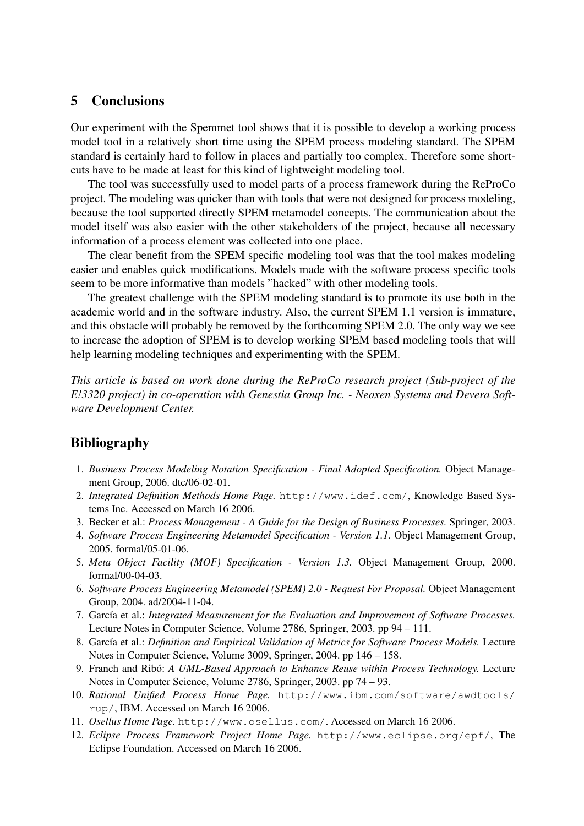### 5 Conclusions

Our experiment with the Spemmet tool shows that it is possible to develop a working process model tool in a relatively short time using the SPEM process modeling standard. The SPEM standard is certainly hard to follow in places and partially too complex. Therefore some shortcuts have to be made at least for this kind of lightweight modeling tool.

The tool was successfully used to model parts of a process framework during the ReProCo project. The modeling was quicker than with tools that were not designed for process modeling, because the tool supported directly SPEM metamodel concepts. The communication about the model itself was also easier with the other stakeholders of the project, because all necessary information of a process element was collected into one place.

The clear benefit from the SPEM specific modeling tool was that the tool makes modeling easier and enables quick modifications. Models made with the software process specific tools seem to be more informative than models "hacked" with other modeling tools.

The greatest challenge with the SPEM modeling standard is to promote its use both in the academic world and in the software industry. Also, the current SPEM 1.1 version is immature, and this obstacle will probably be removed by the forthcoming SPEM 2.0. The only way we see to increase the adoption of SPEM is to develop working SPEM based modeling tools that will help learning modeling techniques and experimenting with the SPEM.

*This article is based on work done during the ReProCo research project (Sub-project of the E!3320 project) in co-operation with Genestia Group Inc. - Neoxen Systems and Devera Software Development Center.*

# Bibliography

- 1. *Business Process Modeling Notation Specification Final Adopted Specification.* Object Management Group, 2006. dtc/06-02-01.
- 2. *Integrated Definition Methods Home Page.* http://www.idef.com/, Knowledge Based Systems Inc. Accessed on March 16 2006.
- 3. Becker et al.: *Process Management A Guide for the Design of Business Processes.* Springer, 2003.
- 4. *Software Process Engineering Metamodel Specification Version 1.1.* Object Management Group, 2005. formal/05-01-06.
- 5. *Meta Object Facility (MOF) Specification Version 1.3.* Object Management Group, 2000. formal/00-04-03.
- 6. *Software Process Engineering Metamodel (SPEM) 2.0 Request For Proposal.* Object Management Group, 2004. ad/2004-11-04.
- 7. García et al.: *Integrated Measurement for the Evaluation and Improvement of Software Processes*. Lecture Notes in Computer Science, Volume 2786, Springer, 2003. pp 94 – 111.
- 8. García et al.: *Definition and Empirical Validation of Metrics for Software Process Models*. Lecture Notes in Computer Science, Volume 3009, Springer, 2004. pp 146 – 158.
- 9. Franch and Ribó: A UML-Based Approach to Enhance Reuse within Process Technology. Lecture Notes in Computer Science, Volume 2786, Springer, 2003. pp 74 – 93.
- 10. *Rational Unified Process Home Page.* http://www.ibm.com/software/awdtools/ rup/, IBM. Accessed on March 16 2006.
- 11. *Osellus Home Page.* http://www.osellus.com/. Accessed on March 16 2006.
- 12. *Eclipse Process Framework Project Home Page.* http://www.eclipse.org/epf/, The Eclipse Foundation. Accessed on March 16 2006.